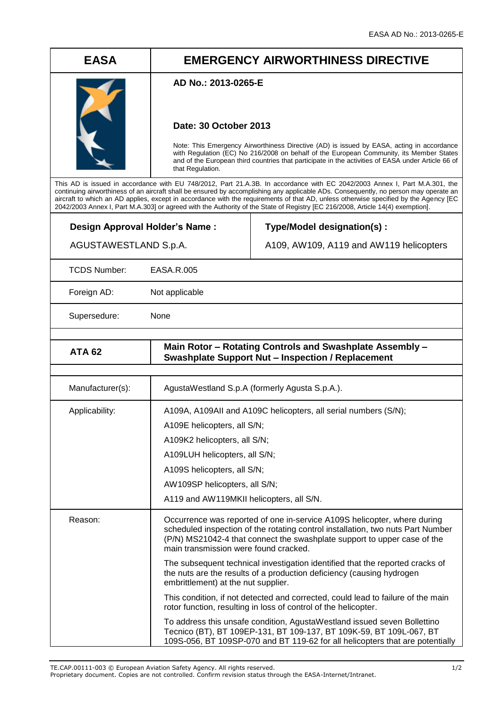# **EASA EMERGENCY AIRWORTHINESS DIRECTIVE**

## **AD No.: 2013-0265-E**

## **Date: 30 October 2013**

Note: This Emergency Airworthiness Directive (AD) is issued by EASA, acting in accordance with Regulation (EC) No 216/2008 on behalf of the European Community, its Member States and of the European third countries that participate in the activities of EASA under Article 66 of that Regulation.

This AD is issued in accordance with EU 748/2012, Part 21.A.3B. In accordance with EC 2042/2003 Annex I, Part M.A.301, the continuing airworthiness of an aircraft shall be ensured by accomplishing any applicable ADs. Consequently, no person may operate an aircraft to which an AD applies, except in accordance with the requirements of that AD, unless otherwise specified by the Agency [EC 2042/2003 Annex I, Part M.A.303] or agreed with the Authority of the State of Registry [EC 216/2008, Article 14(4) exemption].

**Design Approval Holder's Name :**

**Type/Model designation(s) :**

AGUSTAWESTLAND S.p.A.

A109, AW109, A119 and AW119 helicopters

TCDS Number: EASA.R.005

Foreign AD: Not applicable

Supersedure: None

| <b>ATA 62</b>    | Main Rotor - Rotating Controls and Swashplate Assembly -<br><b>Swashplate Support Nut - Inspection / Replacement</b>                                                                                                                                                             |
|------------------|----------------------------------------------------------------------------------------------------------------------------------------------------------------------------------------------------------------------------------------------------------------------------------|
|                  |                                                                                                                                                                                                                                                                                  |
| Manufacturer(s): | AgustaWestland S.p.A (formerly Agusta S.p.A.).                                                                                                                                                                                                                                   |
| Applicability:   | A109A, A109AII and A109C helicopters, all serial numbers (S/N);                                                                                                                                                                                                                  |
|                  | A109E helicopters, all S/N;                                                                                                                                                                                                                                                      |
|                  | A109K2 helicopters, all S/N;                                                                                                                                                                                                                                                     |
|                  | A109LUH helicopters, all S/N;                                                                                                                                                                                                                                                    |
|                  | A109S helicopters, all S/N;                                                                                                                                                                                                                                                      |
|                  | AW109SP helicopters, all S/N;                                                                                                                                                                                                                                                    |
|                  | A119 and AW119MKII helicopters, all S/N.                                                                                                                                                                                                                                         |
| Reason:          | Occurrence was reported of one in-service A109S helicopter, where during<br>scheduled inspection of the rotating control installation, two nuts Part Number<br>(P/N) MS21042-4 that connect the swashplate support to upper case of the<br>main transmission were found cracked. |
|                  | The subsequent technical investigation identified that the reported cracks of<br>the nuts are the results of a production deficiency (causing hydrogen<br>embrittlement) at the nut supplier.                                                                                    |
|                  | This condition, if not detected and corrected, could lead to failure of the main<br>rotor function, resulting in loss of control of the helicopter.                                                                                                                              |
|                  | To address this unsafe condition, AgustaWestland issued seven Bollettino<br>Tecnico (BT), BT 109EP-131, BT 109-137, BT 109K-59, BT 109L-067, BT<br>109S-056, BT 109SP-070 and BT 119-62 for all helicopters that are potentially                                                 |